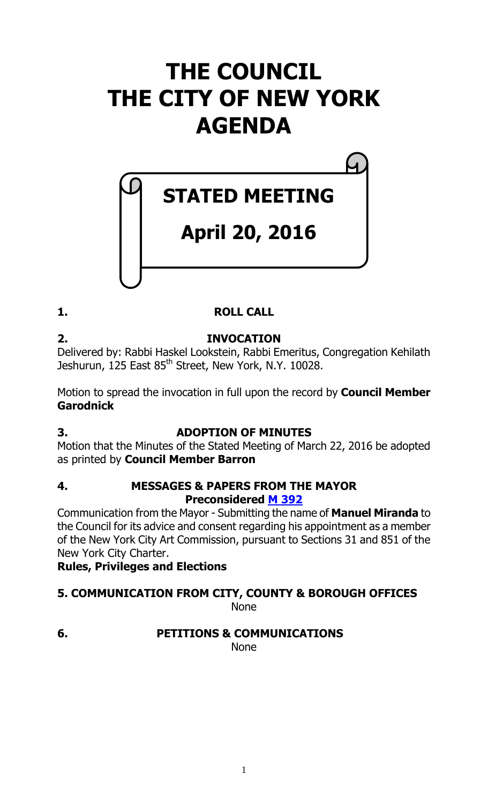# **THE COUNCIL THE CITY OF NEW YORK AGENDA**

# **STATED MEETING**

# **April 20, 2016**

# **1. ROLL CALL**

**2. INVOCATION** Delivered by: Rabbi Haskel Lookstein, Rabbi Emeritus, Congregation Kehilath Jeshurun, 125 East 85<sup>th</sup> Street, New York, N.Y. 10028.

Motion to spread the invocation in full upon the record by **Council Member Garodnick**

# **3. ADOPTION OF MINUTES**

Motion that the Minutes of the Stated Meeting of March 22, 2016 be adopted as printed by **Council Member Barron**

# **4. MESSAGES & PAPERS FROM THE MAYOR Preconsidered M [392](http://legistar.council.nyc.gov/LegislationDetail.aspx?ID=2686420&GUID=2E71053D-EFA5-4EBE-9F99-8DF2B801DB80&Options=ID|Text|&Search=)**

Communication from the Mayor - Submitting the name of **Manuel Miranda** to the Council for its advice and consent regarding his appointment as a member of the New York City Art Commission, pursuant to Sections 31 and 851 of the New York City Charter.

**Rules, Privileges and Elections**

#### **5. COMMUNICATION FROM CITY, COUNTY & BOROUGH OFFICES** None

# **6. PETITIONS & COMMUNICATIONS**

None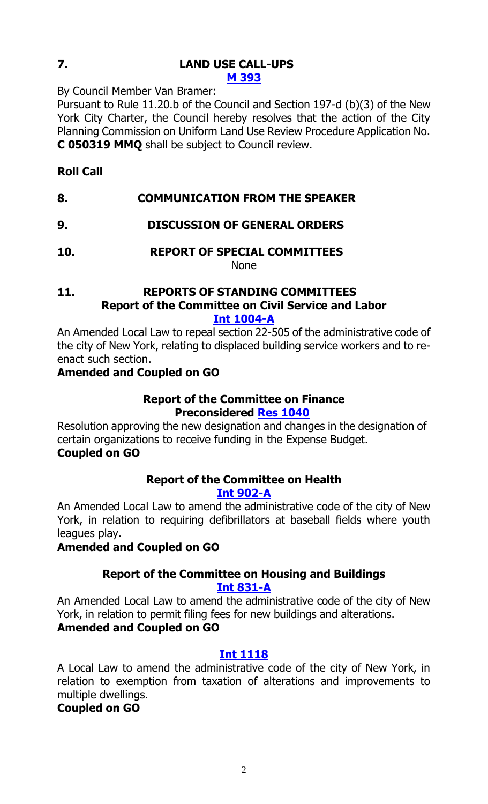#### **7. LAND USE CALL-UPS M [393](http://legistar.council.nyc.gov/LegislationDetail.aspx?ID=2694013&GUID=F03C59F8-23CF-487D-9674-BB950356F5CA&Options=ID|Text|&Search=)**

By Council Member Van Bramer:

Pursuant to Rule 11.20.b of the Council and Section 197-d (b)(3) of the New York City Charter, the Council hereby resolves that the action of the City Planning Commission on Uniform Land Use Review Procedure Application No. **C 050319 MMQ** shall be subject to Council review.

# **Roll Call**

- **8. COMMUNICATION FROM THE SPEAKER**
- **9. DISCUSSION OF GENERAL ORDERS**
- **10. REPORT OF SPECIAL COMMITTEES** None

#### **11. REPORTS OF STANDING COMMITTEES Report of the Committee on Civil Service and Labor [Int 1004-A](http://legistar.council.nyc.gov/LegislationDetail.aspx?ID=2515189&GUID=996EDB08-31D8-45B9-9531-E1E1C7C7B21C&Options=Advanced&Search=)**

An Amended Local Law to repeal section 22-505 of the administrative code of the city of New York, relating to displaced building service workers and to reenact such section.

# **Amended and Coupled on GO**

#### **Report of the Committee on Finance Preconsidered Res [1040](http://legistar.council.nyc.gov/LegislationDetail.aspx?ID=2688386&GUID=95DACD9C-7B53-4F96-947D-FBEB1C7E564B&Options=ID|Text|&Search=)**

Resolution approving the new designation and changes in the designation of certain organizations to receive funding in the Expense Budget. **Coupled on GO**

# **Report of the Committee on Health**

**[Int 902-A](http://legistar.council.nyc.gov/LegislationDetail.aspx?ID=2460446&GUID=BD95524A-A1A7-4B96-BD57-70142322453B&Options=Advanced&Search=)**

An Amended Local Law to amend the administrative code of the city of New York, in relation to requiring defibrillators at baseball fields where youth leagues play.

#### **Amended and Coupled on GO**

# **Report of the Committee on Housing and Buildings [Int 831-A](http://legistar.council.nyc.gov/LegislationDetail.aspx?ID=2352295&GUID=A5CE55BB-DD28-4FC9-9AD0-9EBA7771EE5F&Options=Advanced&Search=)**

An Amended Local Law to amend the administrative code of the city of New York, in relation to permit filing fees for new buildings and alterations.

# **Amended and Coupled on GO**

# **[Int 1118](http://legistar.council.nyc.gov/LegislationDetail.aspx?ID=2599060&GUID=C1CF15A3-2023-4CDF-80AA-B2F08AA6BAC0&Options=Advanced&Search=)**

A Local Law to amend the administrative code of the city of New York, in relation to exemption from taxation of alterations and improvements to multiple dwellings.

# **Coupled on GO**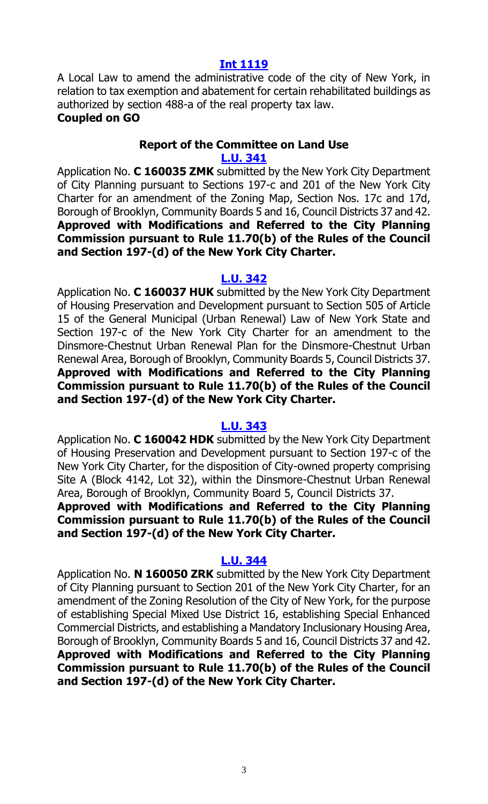#### **[Int 1119](http://legistar.council.nyc.gov/LegislationDetail.aspx?ID=2599061&GUID=DCE11CD0-65F2-4CBD-9E04-A93342D9C065&Options=Advanced&Search=)**

A Local Law to amend the administrative code of the city of New York, in relation to tax exemption and abatement for certain rehabilitated buildings as authorized by section 488-a of the real property tax law. **Coupled on GO**

#### **Report of the Committee on Land Use [L.U. 341](http://legistar.council.nyc.gov/LegislationDetail.aspx?ID=2593233&GUID=49C4745A-43E5-416D-891D-B2469B387BA0&Options=Advanced&Search=)**

Application No. **C 160035 ZMK** submitted by the New York City Department of City Planning pursuant to Sections 197-c and 201 of the New York City Charter for an amendment of the Zoning Map, Section Nos. 17c and 17d, Borough of Brooklyn, Community Boards 5 and 16, Council Districts 37 and 42. **Approved with Modifications and Referred to the City Planning Commission pursuant to Rule 11.70(b) of the Rules of the Council and Section 197-(d) of the New York City Charter.**

#### **[L.U. 342](http://legistar.council.nyc.gov/LegislationDetail.aspx?ID=2593279&GUID=1C657E0B-8F0E-4CA5-82F4-1C294EB376EC&Options=Advanced&Search=)**

Application No. **C 160037 HUK** submitted by the New York City Department of Housing Preservation and Development pursuant to Section 505 of Article 15 of the General Municipal (Urban Renewal) Law of New York State and Section 197-c of the New York City Charter for an amendment to the Dinsmore-Chestnut Urban Renewal Plan for the Dinsmore-Chestnut Urban Renewal Area, Borough of Brooklyn, Community Boards 5, Council Districts 37. **Approved with Modifications and Referred to the City Planning Commission pursuant to Rule 11.70(b) of the Rules of the Council and Section 197-(d) of the New York City Charter.**

#### **[L.U. 343](http://legistar.council.nyc.gov/LegislationDetail.aspx?ID=2593280&GUID=44FDF7B6-6DFF-46D2-9E6E-55F23CC9D7AB&Options=Advanced&Search=)**

Application No. **C 160042 HDK** submitted by the New York City Department of Housing Preservation and Development pursuant to Section 197-c of the New York City Charter, for the disposition of City-owned property comprising Site A (Block 4142, Lot 32), within the Dinsmore-Chestnut Urban Renewal Area, Borough of Brooklyn, Community Board 5, Council Districts 37.

# **Approved with Modifications and Referred to the City Planning Commission pursuant to Rule 11.70(b) of the Rules of the Council and Section 197-(d) of the New York City Charter.**

#### **[L.U. 344](http://legistar.council.nyc.gov/LegislationDetail.aspx?ID=2593281&GUID=AD36D106-40AB-416E-929D-BF5B35C21156&Options=Advanced&Search=)**

Application No. **N 160050 ZRK** submitted by the New York City Department of City Planning pursuant to Section 201 of the New York City Charter, for an amendment of the Zoning Resolution of the City of New York, for the purpose of establishing Special Mixed Use District 16, establishing Special Enhanced Commercial Districts, and establishing a Mandatory Inclusionary Housing Area, Borough of Brooklyn, Community Boards 5 and 16, Council Districts 37 and 42. **Approved with Modifications and Referred to the City Planning Commission pursuant to Rule 11.70(b) of the Rules of the Council and Section 197-(d) of the New York City Charter.**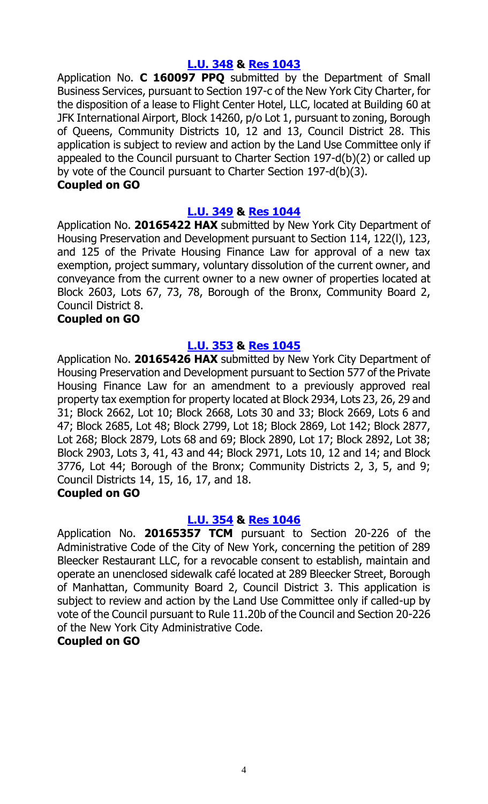# **[L.U. 348](http://legistar.council.nyc.gov/LegislationDetail.aspx?ID=2636859&GUID=97E1AF36-C5CC-40C0-99F0-E2E8FA6B4B43&Options=Advanced&Search=) & Res [1043](http://legistar.council.nyc.gov/LegislationDetail.aspx?ID=2693550&GUID=1D01DC0D-0FA8-4059-BCCC-0126CB11483A&Options=ID%7cText%7c&Search=)**

Application No. **C 160097 PPQ** submitted by the Department of Small Business Services, pursuant to Section 197-c of the New York City Charter, for the disposition of a lease to Flight Center Hotel, LLC, located at Building 60 at JFK International Airport, Block 14260, p/o Lot 1, pursuant to zoning, Borough of Queens, Community Districts 10, 12 and 13, Council District 28. This application is subject to review and action by the Land Use Committee only if appealed to the Council pursuant to Charter Section 197-d(b)(2) or called up by vote of the Council pursuant to Charter Section 197-d(b)(3).

#### **Coupled on GO**

# **[L.U. 349](http://legistar.council.nyc.gov/LegislationDetail.aspx?ID=2636860&GUID=F6D35C9E-2E0F-4945-B98C-35D32A8AEE4D&Options=Advanced&Search=) & Res [1044](http://legistar.council.nyc.gov/LegislationDetail.aspx?ID=2693551&GUID=3F63344A-F602-4BA3-8E64-FCAAA5ED53F4&Options=ID|Text|&Search=)**

Application No. **20165422 HAX** submitted by New York City Department of Housing Preservation and Development pursuant to Section 114, 122(l), 123, and 125 of the Private Housing Finance Law for approval of a new tax exemption, project summary, voluntary dissolution of the current owner, and conveyance from the current owner to a new owner of properties located at Block 2603, Lots 67, 73, 78, Borough of the Bronx, Community Board 2, Council District 8.

# **Coupled on GO**

# **[L.U. 353](http://legistar.council.nyc.gov/LegislationDetail.aspx?ID=2636864&GUID=D2077584-0FEF-441E-9530-ED1F64172A49&Options=Advanced&Search=) & Res [1045](http://legistar.council.nyc.gov/LegislationDetail.aspx?ID=2693558&GUID=7D0AAEAA-8D63-4950-9C88-F755D9F5E741&Options=ID|Text|&Search=)**

Application No. **20165426 HAX** submitted by New York City Department of Housing Preservation and Development pursuant to Section 577 of the Private Housing Finance Law for an amendment to a previously approved real property tax exemption for property located at Block 2934, Lots 23, 26, 29 and 31; Block 2662, Lot 10; Block 2668, Lots 30 and 33; Block 2669, Lots 6 and 47; Block 2685, Lot 48; Block 2799, Lot 18; Block 2869, Lot 142; Block 2877, Lot 268; Block 2879, Lots 68 and 69; Block 2890, Lot 17; Block 2892, Lot 38; Block 2903, Lots 3, 41, 43 and 44; Block 2971, Lots 10, 12 and 14; and Block 3776, Lot 44; Borough of the Bronx; Community Districts 2, 3, 5, and 9; Council Districts 14, 15, 16, 17, and 18.

#### **Coupled on GO**

# **[L.U. 354](http://legistar.council.nyc.gov/LegislationDetail.aspx?ID=2683901&GUID=3990F43B-6BA4-4FFF-B92C-2B916546623D&Options=Advanced&Search=) & Res [1046](http://legistar.council.nyc.gov/LegislationDetail.aspx?ID=2693559&GUID=96EBA532-86BC-4E42-AE4E-8FBE7256F2CF&Options=ID|Text|&Search=)**

Application No. **20165357 TCM** pursuant to Section 20-226 of the Administrative Code of the City of New York, concerning the petition of 289 Bleecker Restaurant LLC, for a revocable consent to establish, maintain and operate an unenclosed sidewalk café located at 289 Bleecker Street, Borough of Manhattan, Community Board 2, Council District 3. This application is subject to review and action by the Land Use Committee only if called-up by vote of the Council pursuant to Rule 11.20b of the Council and Section 20-226 of the New York City Administrative Code.

# **Coupled on GO**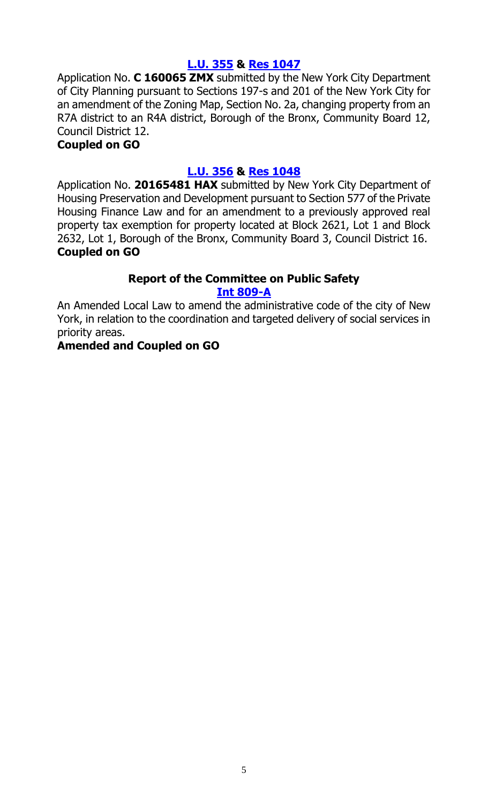# **[L.U. 355](http://legistar.council.nyc.gov/LegislationDetail.aspx?ID=2683902&GUID=F0B12BD7-2900-4C2F-A64E-60C6FBB5C932&Options=Advanced&Search=) & Res [1047](http://legistar.council.nyc.gov/LegislationDetail.aspx?ID=2693560&GUID=EF6AF1A5-DA8B-467B-878A-719BEF753987&Options=ID|Text|&Search=)**

Application No. **C 160065 ZMX** submitted by the New York City Department of City Planning pursuant to Sections 197-s and 201 of the New York City for an amendment of the Zoning Map, Section No. 2a, changing property from an R7A district to an R4A district, Borough of the Bronx, Community Board 12, Council District 12.

# **Coupled on GO**

# **[L.U. 356](http://legistar.council.nyc.gov/LegislationDetail.aspx?ID=2683903&GUID=25C42EED-2E97-4DC5-A5B5-853586E9C0D8&Options=Advanced&Search=) & Res [1048](http://legistar.council.nyc.gov/LegislationDetail.aspx?ID=2693561&GUID=5BEAF471-627C-4D3E-BB86-AB7950F3FB4D&Options=ID|Text|&Search=)**

Application No. **20165481 HAX** submitted by New York City Department of Housing Preservation and Development pursuant to Section 577 of the Private Housing Finance Law and for an amendment to a previously approved real property tax exemption for property located at Block 2621, Lot 1 and Block 2632, Lot 1, Borough of the Bronx, Community Board 3, Council District 16. **Coupled on GO**

# **Report of the Committee on Public Safety**

# **[Int 809-A](http://legistar.council.nyc.gov/LegislationDetail.aspx?ID=2352221&GUID=E1474552-46B8-4DC8-B038-19FBA8464AF3&Options=ID%7c&Search=809)**

An Amended Local Law to amend the administrative code of the city of New York, in relation to the coordination and targeted delivery of social services in priority areas.

# **Amended and Coupled on GO**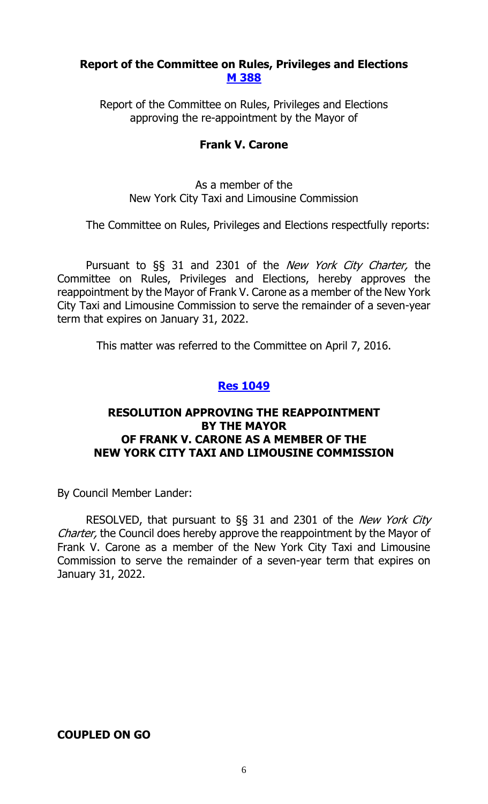# **Report of the Committee on Rules, Privileges and Elections [M 388](http://legistar.council.nyc.gov/LegislationDetail.aspx?ID=2683891&GUID=62C1B1F2-A431-424F-8B09-762A2B5FD540&Options=Advanced&Search=)**

Report of the Committee on Rules, Privileges and Elections approving the re-appointment by the Mayor of

# **Frank V. Carone**

As a member of the New York City Taxi and Limousine Commission

The Committee on Rules, Privileges and Elections respectfully reports:

Pursuant to §§ 31 and 2301 of the *New York City Charter*, the Committee on Rules, Privileges and Elections, hereby approves the reappointment by the Mayor of Frank V. Carone as a member of the New York City Taxi and Limousine Commission to serve the remainder of a seven-year term that expires on January 31, 2022.

This matter was referred to the Committee on April 7, 2016.

# **Res [1049](http://legistar.council.nyc.gov/LegislationDetail.aspx?ID=2694030&GUID=B4857AA9-5BC6-474C-BA54-DD06567F6922&Options=ID|Text|&Search=)**

# **RESOLUTION APPROVING THE REAPPOINTMENT BY THE MAYOR OF FRANK V. CARONE AS A MEMBER OF THE NEW YORK CITY TAXI AND LIMOUSINE COMMISSION**

By Council Member Lander:

RESOLVED, that pursuant to §§ 31 and 2301 of the New York City Charter, the Council does hereby approve the reappointment by the Mayor of Frank V. Carone as a member of the New York City Taxi and Limousine Commission to serve the remainder of a seven-year term that expires on January 31, 2022.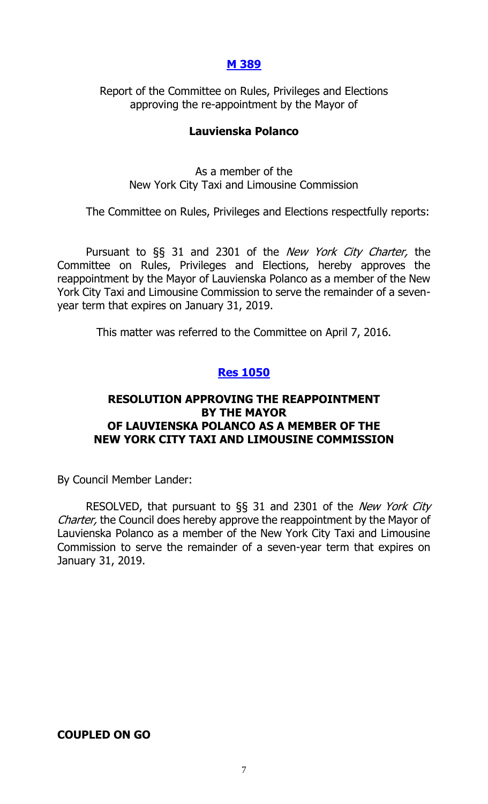# **[M 389](http://legistar.council.nyc.gov/LegislationDetail.aspx?ID=2683892&GUID=61634F5D-F7FD-4400-A8CD-749732B45ECD&Options=Advanced&Search=)**

Report of the Committee on Rules, Privileges and Elections approving the re-appointment by the Mayor of

# **Lauvienska Polanco**

As a member of the New York City Taxi and Limousine Commission

The Committee on Rules, Privileges and Elections respectfully reports:

Pursuant to §§ 31 and 2301 of the New York City Charter, the Committee on Rules, Privileges and Elections, hereby approves the reappointment by the Mayor of Lauvienska Polanco as a member of the New York City Taxi and Limousine Commission to serve the remainder of a sevenyear term that expires on January 31, 2019.

This matter was referred to the Committee on April 7, 2016.

# **Res [1050](http://legistar.council.nyc.gov/LegislationDetail.aspx?ID=2694031&GUID=7FDE35AF-3B8A-4A50-AA20-08695EC623C8&Options=ID|Text|&Search=)**

# **RESOLUTION APPROVING THE REAPPOINTMENT BY THE MAYOR OF LAUVIENSKA POLANCO AS A MEMBER OF THE NEW YORK CITY TAXI AND LIMOUSINE COMMISSION**

By Council Member Lander:

RESOLVED, that pursuant to §§ 31 and 2301 of the *New York City* Charter, the Council does hereby approve the reappointment by the Mayor of Lauvienska Polanco as a member of the New York City Taxi and Limousine Commission to serve the remainder of a seven-year term that expires on January 31, 2019.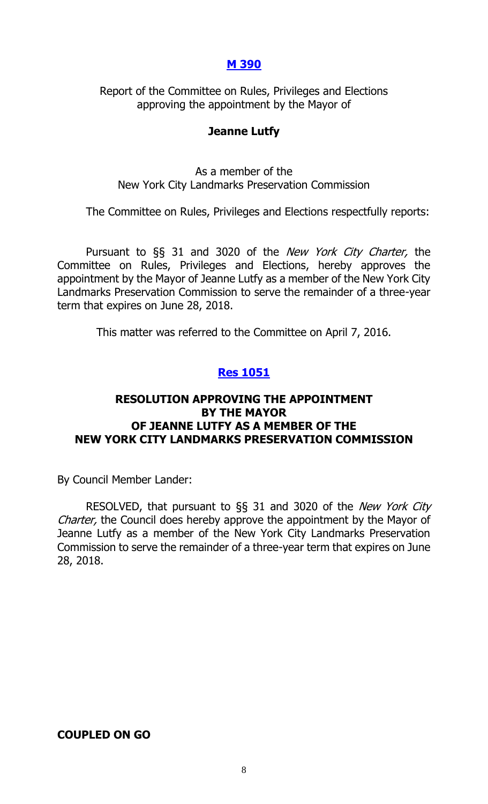# **[M 390](http://legistar.council.nyc.gov/LegislationDetail.aspx?ID=2683895&GUID=4E58E62B-8B7B-4BC1-8013-886ED9A3CFB8&Options=Advanced&Search=)**

Report of the Committee on Rules, Privileges and Elections approving the appointment by the Mayor of

#### **Jeanne Lutfy**

As a member of the New York City Landmarks Preservation Commission

The Committee on Rules, Privileges and Elections respectfully reports:

Pursuant to §§ 31 and 3020 of the New York City Charter, the Committee on Rules, Privileges and Elections, hereby approves the appointment by the Mayor of Jeanne Lutfy as a member of the New York City Landmarks Preservation Commission to serve the remainder of a three-year term that expires on June 28, 2018.

This matter was referred to the Committee on April 7, 2016.

# **Res [1051](http://legistar.council.nyc.gov/LegislationDetail.aspx?ID=2694032&GUID=7E9D1FCF-069A-4986-92C6-6E8C9C053F77&Options=ID%7cText%7c&Search=)**

# **RESOLUTION APPROVING THE APPOINTMENT BY THE MAYOR OF JEANNE LUTFY AS A MEMBER OF THE NEW YORK CITY LANDMARKS PRESERVATION COMMISSION**

By Council Member Lander:

RESOLVED, that pursuant to §§ 31 and 3020 of the New York City Charter, the Council does hereby approve the appointment by the Mayor of Jeanne Lutfy as a member of the New York City Landmarks Preservation Commission to serve the remainder of a three-year term that expires on June 28, 2018.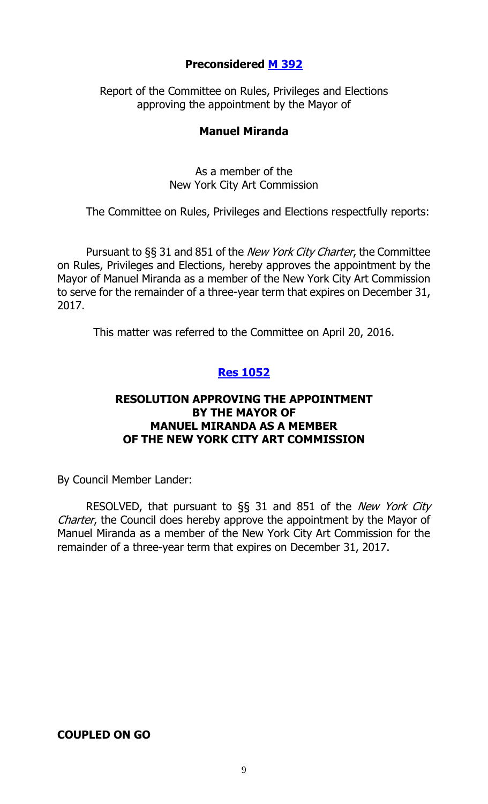# **Preconsidered M [392](http://legistar.council.nyc.gov/LegislationDetail.aspx?ID=2686420&GUID=2E71053D-EFA5-4EBE-9F99-8DF2B801DB80&Options=ID|Text|&Search=)**

Report of the Committee on Rules, Privileges and Elections approving the appointment by the Mayor of

# **Manuel Miranda**

As a member of the New York City Art Commission

The Committee on Rules, Privileges and Elections respectfully reports:

Pursuant to §§ 31 and 851 of the *New York City Charter*, the Committee on Rules, Privileges and Elections, hereby approves the appointment by the Mayor of Manuel Miranda as a member of the New York City Art Commission to serve for the remainder of a three-year term that expires on December 31, 2017.

This matter was referred to the Committee on April 20, 2016.

# **Res [1052](http://legistar.council.nyc.gov/LegislationDetail.aspx?ID=2694023&GUID=94961E09-1B8F-409B-92C7-16F2DAB7D827&Options=ID|Text|&Search=)**

# **RESOLUTION APPROVING THE APPOINTMENT BY THE MAYOR OF MANUEL MIRANDA AS A MEMBER OF THE NEW YORK CITY ART COMMISSION**

By Council Member Lander:

RESOLVED, that pursuant to §§ 31 and 851 of the New York City Charter, the Council does hereby approve the appointment by the Mayor of Manuel Miranda as a member of the New York City Art Commission for the remainder of a three-year term that expires on December 31, 2017.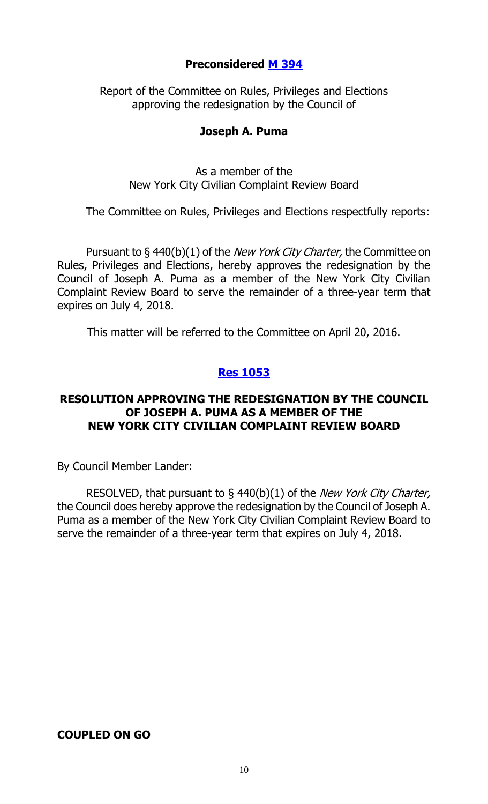# **Preconsidered M [394](http://legistar.council.nyc.gov/LegislationDetail.aspx?ID=2686416&GUID=8978DB23-2F05-47BB-9AB0-0CA315F10474&Options=ID|Text|&Search=)**

Report of the Committee on Rules, Privileges and Elections approving the redesignation by the Council of

# **Joseph A. Puma**

As a member of the New York City Civilian Complaint Review Board

The Committee on Rules, Privileges and Elections respectfully reports:

Pursuant to §440(b)(1) of the *New York City Charter*, the Committee on Rules, Privileges and Elections, hereby approves the redesignation by the Council of Joseph A. Puma as a member of the New York City Civilian Complaint Review Board to serve the remainder of a three-year term that expires on July 4, 2018.

This matter will be referred to the Committee on April 20, 2016.

# **Res [1053](http://legistar.council.nyc.gov/LegislationDetail.aspx?ID=2694024&GUID=6AA6F158-89BC-4873-A756-9C65F064CFCA&Options=ID|Text|&Search=)**

# **RESOLUTION APPROVING THE REDESIGNATION BY THE COUNCIL OF JOSEPH A. PUMA AS A MEMBER OF THE NEW YORK CITY CIVILIAN COMPLAINT REVIEW BOARD**

By Council Member Lander:

RESOLVED, that pursuant to  $\S$  440(b)(1) of the *New York City Charter*, the Council does hereby approve the redesignation by the Council of Joseph A. Puma as a member of the New York City Civilian Complaint Review Board to serve the remainder of a three-year term that expires on July 4, 2018.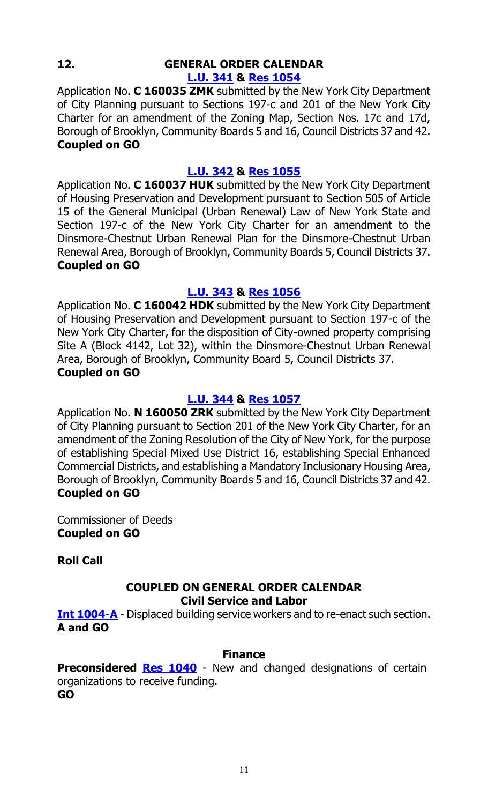# **12. GENERAL ORDER CALENDAR [L.U. 341](http://legistar.council.nyc.gov/LegislationDetail.aspx?ID=2593233&GUID=49C4745A-43E5-416D-891D-B2469B387BA0&Options=Advanced&Search=) & Res [1054](http://legistar.council.nyc.gov/LegislationDetail.aspx?ID=2691332&GUID=080FF80E-84CA-4EB8-97FA-4C01DC776304&Options=ID%7cText%7c&Search=)**

Application No. **C 160035 ZMK** submitted by the New York City Department of City Planning pursuant to Sections 197-c and 201 of the New York City Charter for an amendment of the Zoning Map, Section Nos. 17c and 17d, Borough of Brooklyn, Community Boards 5 and 16, Council Districts 37 and 42. **Coupled on GO**

# **[L.U. 342](http://legistar.council.nyc.gov/LegislationDetail.aspx?ID=2593279&GUID=1C657E0B-8F0E-4CA5-82F4-1C294EB376EC&Options=Advanced&Search=) & Res [1055](http://legistar.council.nyc.gov/LegislationDetail.aspx?ID=2691333&GUID=58A632A0-B2AA-4A41-907D-FCC8BB80C6A6&Options=ID|Text|&Search=)**

Application No. **C 160037 HUK** submitted by the New York City Department of Housing Preservation and Development pursuant to Section 505 of Article 15 of the General Municipal (Urban Renewal) Law of New York State and Section 197-c of the New York City Charter for an amendment to the Dinsmore-Chestnut Urban Renewal Plan for the Dinsmore-Chestnut Urban Renewal Area, Borough of Brooklyn, Community Boards 5, Council Districts 37. **Coupled on GO**

# **[L.U. 343](http://legistar.council.nyc.gov/LegislationDetail.aspx?ID=2593280&GUID=44FDF7B6-6DFF-46D2-9E6E-55F23CC9D7AB&Options=Advanced&Search=) & Res [1056](http://legistar.council.nyc.gov/LegislationDetail.aspx?ID=2691334&GUID=F56D47BC-2FA9-40A0-AE0A-2ECD617F3F9C&Options=ID|Text|&Search=)**

Application No. **C 160042 HDK** submitted by the New York City Department of Housing Preservation and Development pursuant to Section 197-c of the New York City Charter, for the disposition of City-owned property comprising Site A (Block 4142, Lot 32), within the Dinsmore-Chestnut Urban Renewal Area, Borough of Brooklyn, Community Board 5, Council Districts 37. **Coupled on GO**

# **[L.U. 344](http://legistar.council.nyc.gov/LegislationDetail.aspx?ID=2593281&GUID=AD36D106-40AB-416E-929D-BF5B35C21156&Options=Advanced&Search=) & Res [1057](http://legistar.council.nyc.gov/LegislationDetail.aspx?ID=2691335&GUID=8F685708-A578-4AF2-9301-21BF17DFBA51&Options=ID|Text|&Search=)**

Application No. **N 160050 ZRK** submitted by the New York City Department of City Planning pursuant to Section 201 of the New York City Charter, for an amendment of the Zoning Resolution of the City of New York, for the purpose of establishing Special Mixed Use District 16, establishing Special Enhanced Commercial Districts, and establishing a Mandatory Inclusionary Housing Area, Borough of Brooklyn, Community Boards 5 and 16, Council Districts 37 and 42. **Coupled on GO**

Commissioner of Deeds **Coupled on GO**

**Roll Call**

#### **COUPLED ON GENERAL ORDER CALENDAR Civil Service and Labor**

**[Int 1004-A](http://legistar.council.nyc.gov/LegislationDetail.aspx?ID=2515189&GUID=996EDB08-31D8-45B9-9531-E1E1C7C7B21C&Options=Advanced&Search=)** - Displaced building service workers and to re-enact such section. **A and GO**

# **Finance**

# **Preconsidered Res [1040](http://legistar.council.nyc.gov/LegislationDetail.aspx?ID=2688386&GUID=95DACD9C-7B53-4F96-947D-FBEB1C7E564B&Options=ID|Text|&Search=)** - New and changed designations of certain

organizations to receive funding. **GO**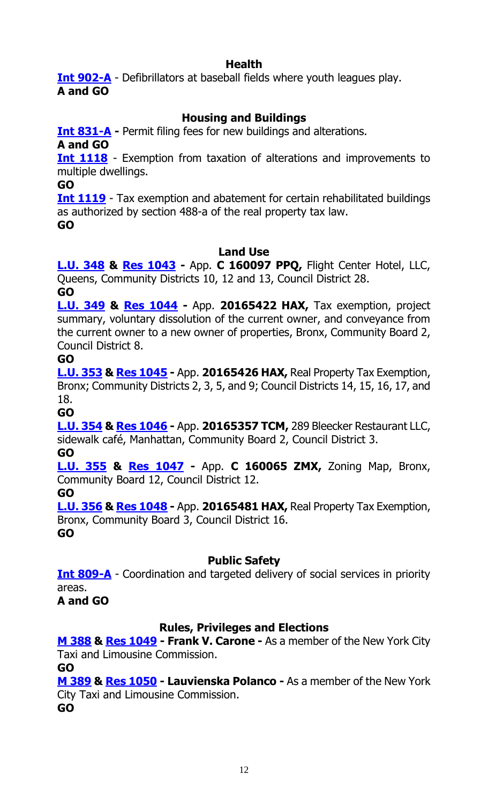# **Health**

**[Int 902-A](http://legistar.council.nyc.gov/LegislationDetail.aspx?ID=2460446&GUID=BD95524A-A1A7-4B96-BD57-70142322453B&Options=Advanced&Search=)** - Defibrillators at baseball fields where youth leagues play. **A and GO**

# **Housing and Buildings**

**[Int 831-A](http://legistar.council.nyc.gov/LegislationDetail.aspx?ID=2352295&GUID=A5CE55BB-DD28-4FC9-9AD0-9EBA7771EE5F&Options=Advanced&Search=) -** Permit filing fees for new buildings and alterations.

**A and GO**

**[Int 1118](http://legistar.council.nyc.gov/LegislationDetail.aspx?ID=2599060&GUID=C1CF15A3-2023-4CDF-80AA-B2F08AA6BAC0&Options=Advanced&Search=)** - Exemption from taxation of alterations and improvements to multiple dwellings.

**GO**

**[Int 1119](http://legistar.council.nyc.gov/LegislationDetail.aspx?ID=2599061&GUID=DCE11CD0-65F2-4CBD-9E04-A93342D9C065&Options=Advanced&Search=)** - Tax exemption and abatement for certain rehabilitated buildings as authorized by section 488-a of the real property tax law.

**GO**

# **Land Use**

**[L.U. 348](http://legistar.council.nyc.gov/LegislationDetail.aspx?ID=2636859&GUID=97E1AF36-C5CC-40C0-99F0-E2E8FA6B4B43&Options=Advanced&Search=) & Res [1043](http://legistar.council.nyc.gov/LegislationDetail.aspx?ID=2693550&GUID=1D01DC0D-0FA8-4059-BCCC-0126CB11483A&Options=ID%7cText%7c&Search=) -** App. **C 160097 PPQ,** Flight Center Hotel, LLC, Queens, Community Districts 10, 12 and 13, Council District 28.

**GO**

**[L.U. 349](http://legistar.council.nyc.gov/LegislationDetail.aspx?ID=2636860&GUID=F6D35C9E-2E0F-4945-B98C-35D32A8AEE4D&Options=Advanced&Search=) & Res [1044](http://legistar.council.nyc.gov/LegislationDetail.aspx?ID=2693551&GUID=3F63344A-F602-4BA3-8E64-FCAAA5ED53F4&Options=ID|Text|&Search=) -** App. **20165422 HAX,** Tax exemption, project summary, voluntary dissolution of the current owner, and conveyance from the current owner to a new owner of properties, Bronx, Community Board 2, Council District 8.

**GO**

**[L.U. 353](http://legistar.council.nyc.gov/LegislationDetail.aspx?ID=2636864&GUID=D2077584-0FEF-441E-9530-ED1F64172A49&Options=Advanced&Search=) & Res [1045](http://legistar.council.nyc.gov/LegislationDetail.aspx?ID=2693558&GUID=7D0AAEAA-8D63-4950-9C88-F755D9F5E741&Options=ID|Text|&Search=) -** App. **20165426 HAX,** Real Property Tax Exemption, Bronx; Community Districts 2, 3, 5, and 9; Council Districts 14, 15, 16, 17, and 18.

**GO**

**[L.U. 354](http://legistar.council.nyc.gov/LegislationDetail.aspx?ID=2683901&GUID=3990F43B-6BA4-4FFF-B92C-2B916546623D&Options=Advanced&Search=) & Res [1046](http://legistar.council.nyc.gov/LegislationDetail.aspx?ID=2693559&GUID=96EBA532-86BC-4E42-AE4E-8FBE7256F2CF&Options=ID|Text|&Search=) -** App. **20165357 TCM,** 289 Bleecker Restaurant LLC, sidewalk café, Manhattan, Community Board 2, Council District 3. **GO**

**[L.U. 355](http://legistar.council.nyc.gov/LegislationDetail.aspx?ID=2683902&GUID=F0B12BD7-2900-4C2F-A64E-60C6FBB5C932&Options=Advanced&Search=) & Res [1047](http://legistar.council.nyc.gov/LegislationDetail.aspx?ID=2693560&GUID=EF6AF1A5-DA8B-467B-878A-719BEF753987&Options=ID|Text|&Search=) -** App. **C 160065 ZMX,** Zoning Map, Bronx, Community Board 12, Council District 12.

**GO**

**[L.U. 356](http://legistar.council.nyc.gov/LegislationDetail.aspx?ID=2683903&GUID=25C42EED-2E97-4DC5-A5B5-853586E9C0D8&Options=Advanced&Search=) & Res [1048](http://legistar.council.nyc.gov/LegislationDetail.aspx?ID=2693561&GUID=5BEAF471-627C-4D3E-BB86-AB7950F3FB4D&Options=ID|Text|&Search=) -** App. **20165481 HAX,** Real Property Tax Exemption, Bronx, Community Board 3, Council District 16. **GO**

**Public Safety**

**[Int 809-A](http://legistar.council.nyc.gov/LegislationDetail.aspx?ID=2352221&GUID=E1474552-46B8-4DC8-B038-19FBA8464AF3&Options=ID%7c&Search=809)** - Coordination and targeted delivery of social services in priority areas.

**A and GO**

# **Rules, Privileges and Elections**

**[M 388](http://legistar.council.nyc.gov/LegislationDetail.aspx?ID=2683891&GUID=62C1B1F2-A431-424F-8B09-762A2B5FD540&Options=Advanced&Search=) & [Res 1049](http://legistar.council.nyc.gov/LegislationDetail.aspx?ID=2694030&GUID=B4857AA9-5BC6-474C-BA54-DD06567F6922&Options=ID|Text|&Search=) - Frank V. Carone -** As a member of the New York City Taxi and Limousine Commission.

**GO**

**[M 389](http://legistar.council.nyc.gov/LegislationDetail.aspx?ID=2683892&GUID=61634F5D-F7FD-4400-A8CD-749732B45ECD&Options=Advanced&Search=) & [Res 1050](http://legistar.council.nyc.gov/LegislationDetail.aspx?ID=2694031&GUID=7FDE35AF-3B8A-4A50-AA20-08695EC623C8&Options=ID|Text|&Search=) - Lauvienska Polanco -** As a member of the New York City Taxi and Limousine Commission.

**GO**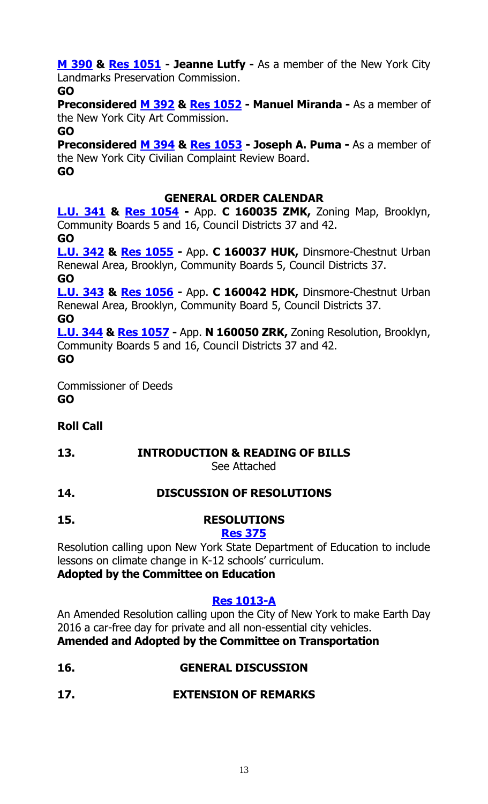**[M 390](http://legistar.council.nyc.gov/LegislationDetail.aspx?ID=2683895&GUID=4E58E62B-8B7B-4BC1-8013-886ED9A3CFB8&Options=Advanced&Search=) & [Res 1051](http://legistar.council.nyc.gov/LegislationDetail.aspx?ID=2694032&GUID=7E9D1FCF-069A-4986-92C6-6E8C9C053F77&Options=ID%7cText%7c&Search=) - Jeanne Lutfy -** As a member of the New York City Landmarks Preservation Commission.

**GO**

**Preconsidered M [392](http://legistar.council.nyc.gov/LegislationDetail.aspx?ID=2686420&GUID=2E71053D-EFA5-4EBE-9F99-8DF2B801DB80&Options=ID|Text|&Search=) & [Res 1052](http://legistar.council.nyc.gov/LegislationDetail.aspx?ID=2694023&GUID=94961E09-1B8F-409B-92C7-16F2DAB7D827&Options=ID|Text|&Search=) - Manuel Miranda -** As a member of the New York City Art Commission.

**GO**

**Preconsidered M [394](http://legistar.council.nyc.gov/LegislationDetail.aspx?ID=2686416&GUID=8978DB23-2F05-47BB-9AB0-0CA315F10474&Options=ID|Text|&Search=) & [Res 1053](http://legistar.council.nyc.gov/LegislationDetail.aspx?ID=2694024&GUID=6AA6F158-89BC-4873-A756-9C65F064CFCA&Options=ID|Text|&Search=) - Joseph A. Puma -** As a member of the New York City Civilian Complaint Review Board. **GO**

# **GENERAL ORDER CALENDAR**

**[L.U. 341](http://legistar.council.nyc.gov/LegislationDetail.aspx?ID=2593233&GUID=49C4745A-43E5-416D-891D-B2469B387BA0&Options=Advanced&Search=) & Res [1054](http://legistar.council.nyc.gov/LegislationDetail.aspx?ID=2691332&GUID=080FF80E-84CA-4EB8-97FA-4C01DC776304&Options=ID%7cText%7c&Search=) -** App. **C 160035 ZMK,** Zoning Map, Brooklyn, Community Boards 5 and 16, Council Districts 37 and 42. **GO**

**[L.U. 342](http://legistar.council.nyc.gov/LegislationDetail.aspx?ID=2593279&GUID=1C657E0B-8F0E-4CA5-82F4-1C294EB376EC&Options=Advanced&Search=) & Res [1055](http://legistar.council.nyc.gov/LegislationDetail.aspx?ID=2691333&GUID=58A632A0-B2AA-4A41-907D-FCC8BB80C6A6&Options=ID|Text|&Search=) -** App. **C 160037 HUK,** Dinsmore-Chestnut Urban Renewal Area, Brooklyn, Community Boards 5, Council Districts 37.

**GO**

**[L.U. 343](http://legistar.council.nyc.gov/LegislationDetail.aspx?ID=2593280&GUID=44FDF7B6-6DFF-46D2-9E6E-55F23CC9D7AB&Options=Advanced&Search=) & Res [1056](http://legistar.council.nyc.gov/LegislationDetail.aspx?ID=2691334&GUID=F56D47BC-2FA9-40A0-AE0A-2ECD617F3F9C&Options=ID|Text|&Search=) -** App. **C 160042 HDK,** Dinsmore-Chestnut Urban Renewal Area, Brooklyn, Community Board 5, Council Districts 37. **GO**

**[L.U. 344](http://legistar.council.nyc.gov/LegislationDetail.aspx?ID=2593281&GUID=AD36D106-40AB-416E-929D-BF5B35C21156&Options=Advanced&Search=) & Res [1057](http://legistar.council.nyc.gov/LegislationDetail.aspx?ID=2691335&GUID=8F685708-A578-4AF2-9301-21BF17DFBA51&Options=ID|Text|&Search=) -** App. **N 160050 ZRK,** Zoning Resolution, Brooklyn, Community Boards 5 and 16, Council Districts 37 and 42. **GO**

Commissioner of Deeds **GO**

# **Roll Call**

# **13. INTRODUCTION & READING OF BILLS**

See Attached

# **14. DISCUSSION OF RESOLUTIONS**

**15. RESOLUTIONS**

# **[Res 375](http://legistar.council.nyc.gov/LegislationDetail.aspx?ID=1890953&GUID=A7AE4C36-D944-4BC4-ABA6-3EFE563F646A&Options=Advanced&Search=)**

Resolution calling upon New York State Department of Education to include lessons on climate change in K-12 schools' curriculum.

# **Adopted by the Committee on Education**

# **[Res 1013-A](http://legistar.council.nyc.gov/LegislationDetail.aspx?ID=2635883&GUID=ED285B3B-6AE5-49FC-B39C-64AC66F8E49C&Options=Advanced&Search=)**

An Amended Resolution calling upon the City of New York to make Earth Day 2016 a car-free day for private and all non-essential city vehicles. **Amended and Adopted by the Committee on Transportation**

- **16. GENERAL DISCUSSION**
- **17. EXTENSION OF REMARKS**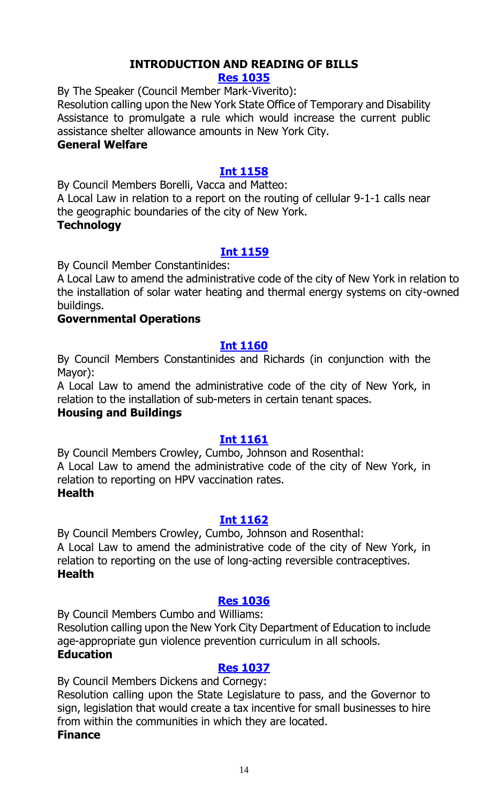# **INTRODUCTION AND READING OF BILLS**

#### **[Res 1035](http://legistar.council.nyc.gov/LegislationDetail.aspx?ID=2694027&GUID=3ED5557C-3003-4E50-9EE1-9862DFD17CB1&Options=ID%7cText%7c&Search=)**

By The Speaker (Council Member Mark-Viverito):

Resolution calling upon the New York State Office of Temporary and Disability Assistance to promulgate a rule which would increase the current public assistance shelter allowance amounts in New York City.

# **General Welfare**

# **[Int 1158](http://legistar.council.nyc.gov/LegislationDetail.aspx?ID=2693988&GUID=ABA7DCA9-5DFB-4CD8-B0E9-25083EA72D0E&Options=ID|Text|&Search=)**

By Council Members Borelli, Vacca and Matteo:

A Local Law in relation to a report on the routing of cellular 9-1-1 calls near the geographic boundaries of the city of New York.

# **Technology**

# **[Int 1159](http://legistar.council.nyc.gov/LegislationDetail.aspx?ID=2693990&GUID=D625FFCD-81C3-4673-9E26-A404983B9B55&Options=ID|Text|&Search=)**

By Council Member Constantinides:

A Local Law to amend the administrative code of the city of New York in relation to the installation of solar water heating and thermal energy systems on city-owned buildings.

# **Governmental Operations**

# **[Int 1160](http://legistar.council.nyc.gov/LegislationDetail.aspx?ID=2693992&GUID=876F7164-3359-4398-AADF-11E141D3A1F5&Options=ID|Text|&Search=)**

By Council Members Constantinides and Richards (in conjunction with the Mayor):

A Local Law to amend the administrative code of the city of New York, in relation to the installation of sub-meters in certain tenant spaces.

# **Housing and Buildings**

# **[Int 1161](http://legistar.council.nyc.gov/LegislationDetail.aspx?ID=2693987&GUID=E8E248A4-38DC-4353-9B36-905A53E7E55F&Options=ID|Text|&Search=)**

By Council Members Crowley, Cumbo, Johnson and Rosenthal: A Local Law to amend the administrative code of the city of New York, in relation to reporting on HPV vaccination rates.

# **Health**

# **[Int 1162](http://legistar.council.nyc.gov/LegislationDetail.aspx?ID=2693989&GUID=4E2387BF-9D7B-4738-B378-408B4F68F7BE&Options=ID|Text|&Search=)**

By Council Members Crowley, Cumbo, Johnson and Rosenthal: A Local Law to amend the administrative code of the city of New York, in relation to reporting on the use of long-acting reversible contraceptives. **Health**

# **[Res 1036](http://legistar.council.nyc.gov/LegislationDetail.aspx?ID=2694025&GUID=DDB67B49-40DC-4E03-BB64-5512F6323977&Options=ID|Text|&Search=)**

By Council Members Cumbo and Williams:

Resolution calling upon the New York City Department of Education to include age-appropriate gun violence prevention curriculum in all schools. **Education**

# **[Res 1037](http://legistar.council.nyc.gov/LegislationDetail.aspx?ID=2694022&GUID=DD01A578-ABE5-4BF5-A054-973A97C4652D&Options=ID|Text|&Search=)**

By Council Members Dickens and Cornegy:

Resolution calling upon the State Legislature to pass, and the Governor to sign, legislation that would create a tax incentive for small businesses to hire from within the communities in which they are located.

# **Finance**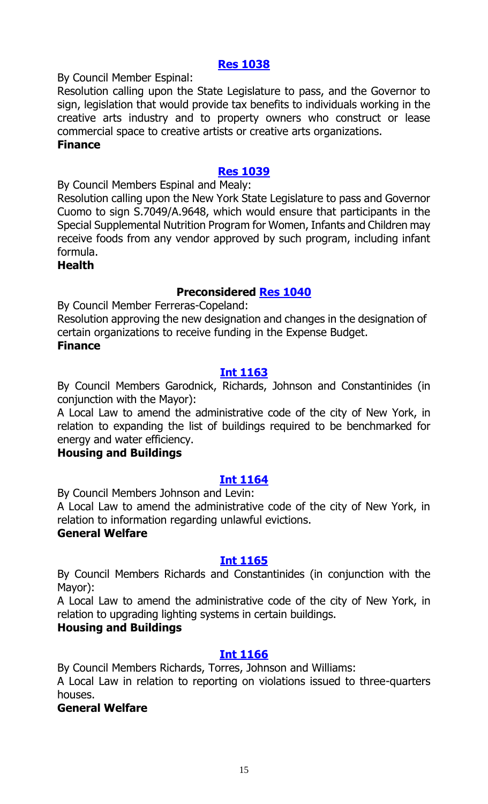# **[Res 1038](http://legistar.council.nyc.gov/LegislationDetail.aspx?ID=2694029&GUID=8F85D3DF-A2E7-4E04-A4F4-44ECAA468446&Options=ID|Text|&Search=)**

By Council Member Espinal:

Resolution calling upon the State Legislature to pass, and the Governor to sign, legislation that would provide tax benefits to individuals working in the creative arts industry and to property owners who construct or lease commercial space to creative artists or creative arts organizations. **Finance**

# **[Res 1039](http://legistar.council.nyc.gov/LegislationDetail.aspx?ID=2694028&GUID=843388D5-960C-4AEF-9447-2A8FBE9B3C6A&Options=ID|Text|&Search=)**

By Council Members Espinal and Mealy:

Resolution calling upon the New York State Legislature to pass and Governor Cuomo to sign S.7049/A.9648, which would ensure that participants in the Special Supplemental Nutrition Program for Women, Infants and Children may receive foods from any vendor approved by such program, including infant formula.

#### **Health**

# **Preconsidered [Res 1040](http://legistar.council.nyc.gov/LegislationDetail.aspx?ID=2688386&GUID=95DACD9C-7B53-4F96-947D-FBEB1C7E564B&Options=ID|Text|&Search=)**

By Council Member Ferreras-Copeland:

Resolution approving the new designation and changes in the designation of certain organizations to receive funding in the Expense Budget. **Finance**

# **[Int 1163](http://legistar.council.nyc.gov/LegislationDetail.aspx?ID=2693991&GUID=A327670F-8059-4202-B846-D08F8A791771&Options=ID|Text|&Search=)**

By Council Members Garodnick, Richards, Johnson and Constantinides (in conjunction with the Mayor):

A Local Law to amend the administrative code of the city of New York, in relation to expanding the list of buildings required to be benchmarked for energy and water efficiency.

#### **Housing and Buildings**

# **[Int 1164](http://legistar.council.nyc.gov/LegislationDetail.aspx?ID=2693986&GUID=64D0A7F8-BF8A-41BB-A237-BB45C7FA98DB&Options=ID|Text|&Search=)**

By Council Members Johnson and Levin:

A Local Law to amend the administrative code of the city of New York, in relation to information regarding unlawful evictions.

# **General Welfare**

#### **[Int 1165](http://legistar.council.nyc.gov/LegislationDetail.aspx?ID=2694010&GUID=FEBBCC18-E217-4324-8914-1206C6F65A10&Options=ID|Text|&Search=)**

By Council Members Richards and Constantinides (in conjunction with the Mayor):

A Local Law to amend the administrative code of the city of New York, in relation to upgrading lighting systems in certain buildings.

#### **Housing and Buildings**

# **[Int 1166](http://legistar.council.nyc.gov/LegislationDetail.aspx?ID=2694008&GUID=F8058847-2708-45AE-A8E9-646A99AA12D1&Options=ID|Text|&Search=)**

By Council Members Richards, Torres, Johnson and Williams:

A Local Law in relation to reporting on violations issued to three-quarters houses.

# **General Welfare**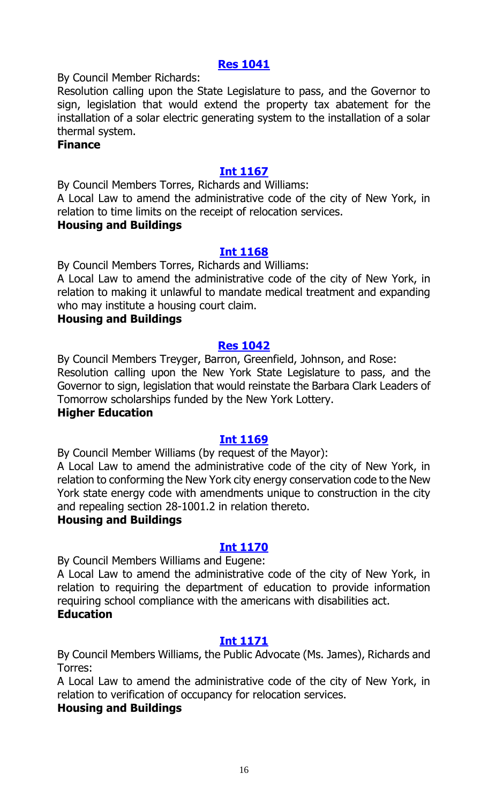# **[Res 1041](http://legistar.council.nyc.gov/LegislationDetail.aspx?ID=2694021&GUID=86B437E5-5DBF-46A3-AA72-1EF7F77D4ABD&Options=ID|Text|&Search=)**

By Council Member Richards:

Resolution calling upon the State Legislature to pass, and the Governor to sign, legislation that would extend the property tax abatement for the installation of a solar electric generating system to the installation of a solar thermal system.

#### **Finance**

# **[Int 1167](http://legistar.council.nyc.gov/LegislationDetail.aspx?ID=2694004&GUID=2A8D8583-749F-496F-BF1F-01DF6CAA4549&Options=ID|Text|&Search=)**

By Council Members Torres, Richards and Williams:

A Local Law to amend the administrative code of the city of New York, in relation to time limits on the receipt of relocation services.

#### **Housing and Buildings**

# **[Int 1168](http://legistar.council.nyc.gov/LegislationDetail.aspx?ID=2694005&GUID=8565678A-F9CA-4AC2-871A-59C6C60EB09A&Options=ID|Text|&Search=)**

By Council Members Torres, Richards and Williams:

A Local Law to amend the administrative code of the city of New York, in relation to making it unlawful to mandate medical treatment and expanding who may institute a housing court claim.

#### **Housing and Buildings**

# **[Res 1042](http://legistar.council.nyc.gov/LegislationDetail.aspx?ID=2694026&GUID=064A87BE-32A7-46BA-B6AB-4B3EF68D3F42&Options=ID|Text|&Search=)**

By Council Members Treyger, Barron, Greenfield, Johnson, and Rose: Resolution calling upon the New York State Legislature to pass, and the Governor to sign, legislation that would reinstate the Barbara Clark Leaders of Tomorrow scholarships funded by the New York Lottery.

# **Higher Education**

# **[Int 1169](http://legistar.council.nyc.gov/LegislationDetail.aspx?ID=2694009&GUID=CAEE60DC-4E40-4BC0-8B74-0202EE140791&Options=ID|Text|&Search=)**

By Council Member Williams (by request of the Mayor):

A Local Law to amend the administrative code of the city of New York, in relation to conforming the New York city energy conservation code to the New York state energy code with amendments unique to construction in the city and repealing section 28-1001.2 in relation thereto.

# **Housing and Buildings**

# **[Int 1170](http://legistar.council.nyc.gov/LegislationDetail.aspx?ID=2694007&GUID=758D4A35-1F77-4543-9E35-D44BADFA18B9&Options=ID|Text|&Search=)**

By Council Members Williams and Eugene:

A Local Law to amend the administrative code of the city of New York, in relation to requiring the department of education to provide information requiring school compliance with the americans with disabilities act. **Education**

# **[Int 1171](http://legistar.council.nyc.gov/LegislationDetail.aspx?ID=2694006&GUID=EC211FD9-E10F-45A9-9DC6-DED828FEB1C0&Options=ID|Text|&Search=)**

By Council Members Williams, the Public Advocate (Ms. James), Richards and Torres:

A Local Law to amend the administrative code of the city of New York, in relation to verification of occupancy for relocation services.

# **Housing and Buildings**